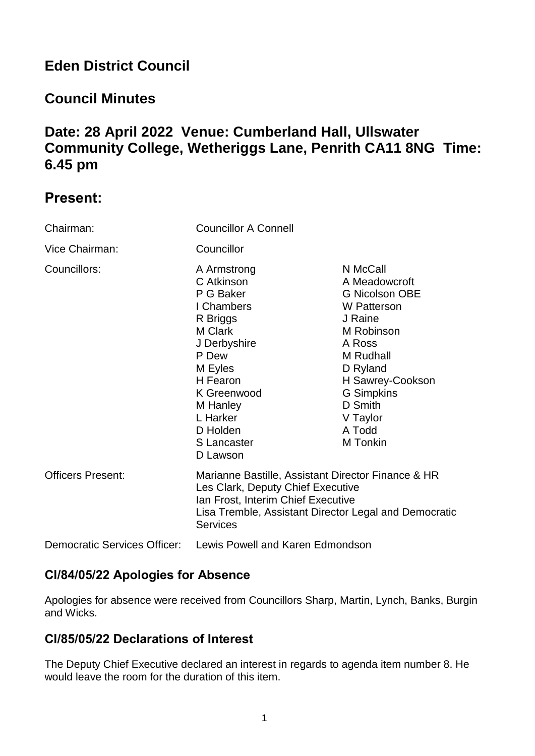# **Eden District Council**

## **Council Minutes**

## **Date: 28 April 2022 Venue: Cumberland Hall, Ullswater Community College, Wetheriggs Lane, Penrith CA11 8NG Time: 6.45 pm**

## **Present:**

| Chairman:                           | <b>Councillor A Connell</b>                                                                                                                                                                               |                                                                                                                                                                                                                     |
|-------------------------------------|-----------------------------------------------------------------------------------------------------------------------------------------------------------------------------------------------------------|---------------------------------------------------------------------------------------------------------------------------------------------------------------------------------------------------------------------|
| Vice Chairman:                      | Councillor                                                                                                                                                                                                |                                                                                                                                                                                                                     |
| Councillors:                        | A Armstrong<br>C Atkinson<br>P G Baker<br>I Chambers<br>R Briggs<br>M Clark<br>J Derbyshire<br>P Dew<br>M Eyles<br>H Fearon<br>K Greenwood<br>M Hanley<br>L Harker<br>D Holden<br>S Lancaster<br>D Lawson | N McCall<br>A Meadowcroft<br><b>G Nicolson OBE</b><br>W Patterson<br>J Raine<br>M Robinson<br>A Ross<br>M Rudhall<br>D Ryland<br>H Sawrey-Cookson<br><b>G</b> Simpkins<br>D Smith<br>V Taylor<br>A Todd<br>M Tonkin |
| <b>Officers Present:</b>            | Marianne Bastille, Assistant Director Finance & HR<br>Les Clark, Deputy Chief Executive<br>Ian Frost, Interim Chief Executive<br>Lisa Tremble, Assistant Director Legal and Democratic<br><b>Services</b> |                                                                                                                                                                                                                     |
| <b>Democratic Services Officer:</b> | Lewis Powell and Karen Edmondson                                                                                                                                                                          |                                                                                                                                                                                                                     |

## **Cl/84/05/22 Apologies for Absence**

Apologies for absence were received from Councillors Sharp, Martin, Lynch, Banks, Burgin and Wicks.

## **Cl/85/05/22 Declarations of Interest**

The Deputy Chief Executive declared an interest in regards to agenda item number 8. He would leave the room for the duration of this item.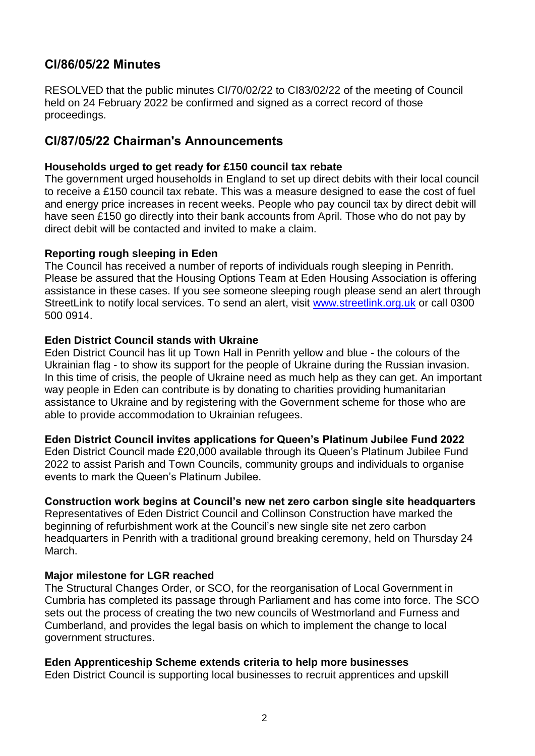## **Cl/86/05/22 Minutes**

RESOLVED that the public minutes CI/70/02/22 to CI83/02/22 of the meeting of Council held on 24 February 2022 be confirmed and signed as a correct record of those proceedings.

### **Cl/87/05/22 Chairman's Announcements**

#### **Households urged to get ready for £150 council tax rebate**

The government urged households in England to set up direct debits with their local council to receive a £150 council tax rebate. This was a measure designed to ease the cost of fuel and energy price increases in recent weeks. People who pay council tax by direct debit will have seen £150 go directly into their bank accounts from April. Those who do not pay by direct debit will be contacted and invited to make a claim.

#### **Reporting rough sleeping in Eden**

The Council has received a number of reports of individuals rough sleeping in Penrith. Please be assured that the Housing Options Team at Eden Housing Association is offering assistance in these cases. If you see someone sleeping rough please send an alert through StreetLink to notify local services. To send an alert, visit [www.streetlink.org.uk](http://www.streetlink.org.uk/) or call 0300 500 0914.

#### **Eden District Council stands with Ukraine**

Eden District Council has lit up Town Hall in Penrith yellow and blue - the colours of the Ukrainian flag - to show its support for the people of Ukraine during the Russian invasion. In this time of crisis, the people of Ukraine need as much help as they can get. An important way people in Eden can contribute is by donating to charities providing humanitarian assistance to Ukraine and by registering with the Government scheme for those who are able to provide accommodation to Ukrainian refugees.

#### **Eden District Council invites applications for Queen's Platinum Jubilee Fund 2022**

Eden District Council made £20,000 available through its Queen's Platinum Jubilee Fund 2022 to assist Parish and Town Councils, community groups and individuals to organise events to mark the Queen's Platinum Jubilee.

#### **Construction work begins at Council's new net zero carbon single site headquarters**

Representatives of Eden District Council and Collinson Construction have marked the beginning of refurbishment work at the Council's new single site net zero carbon headquarters in Penrith with a traditional ground breaking ceremony, held on Thursday 24 March.

#### **Major milestone for LGR reached**

The Structural Changes Order, or SCO, for the reorganisation of Local Government in Cumbria has completed its passage through Parliament and has come into force. The SCO sets out the process of creating the two new councils of Westmorland and Furness and Cumberland, and provides the legal basis on which to implement the change to local government structures.

#### **Eden Apprenticeship Scheme extends criteria to help more businesses**

Eden District Council is supporting local businesses to recruit apprentices and upskill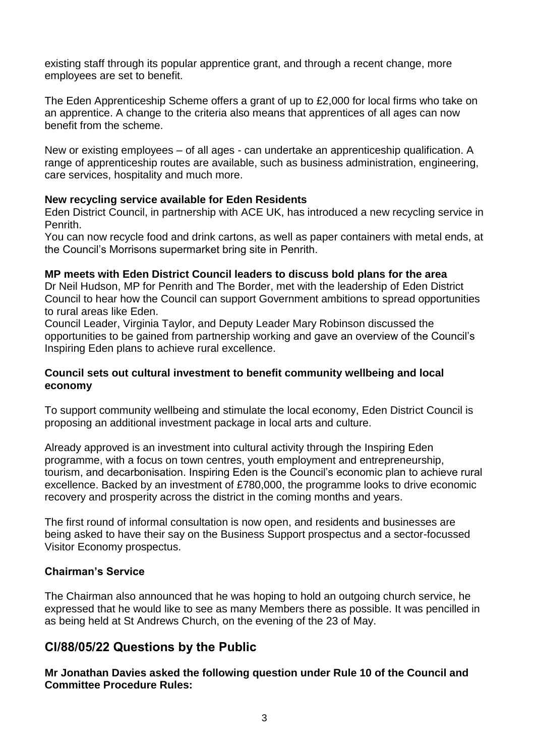existing staff through its popular apprentice grant, and through a recent change, more employees are set to benefit.

The Eden Apprenticeship Scheme offers a grant of up to £2,000 for local firms who take on an apprentice. A change to the criteria also means that apprentices of all ages can now benefit from the scheme.

New or existing employees – of all ages - can undertake an apprenticeship qualification. A range of apprenticeship routes are available, such as business administration, engineering, care services, hospitality and much more.

#### **New recycling service available for Eden Residents**

Eden District Council, in partnership with ACE UK, has introduced a new recycling service in Penrith.

You can now recycle food and drink cartons, as well as paper containers with metal ends, at the Council's Morrisons supermarket bring site in Penrith.

#### **MP meets with Eden District Council leaders to discuss bold plans for the area**

Dr Neil Hudson, MP for Penrith and The Border, met with the leadership of Eden District Council to hear how the Council can support Government ambitions to spread opportunities to rural areas like Eden.

Council Leader, Virginia Taylor, and Deputy Leader Mary Robinson discussed the opportunities to be gained from partnership working and gave an overview of the Council's Inspiring Eden plans to achieve rural excellence.

#### **Council sets out cultural investment to benefit community wellbeing and local economy**

To support community wellbeing and stimulate the local economy, Eden District Council is proposing an additional investment package in local arts and culture.

Already approved is an investment into cultural activity through the Inspiring Eden programme, with a focus on town centres, youth employment and entrepreneurship, tourism, and decarbonisation. Inspiring Eden is the Council's economic plan to achieve rural excellence. Backed by an investment of £780,000, the programme looks to drive economic recovery and prosperity across the district in the coming months and years.

The first round of informal consultation is now open, and residents and businesses are being asked to have their say on the Business Support prospectus and a sector-focussed Visitor Economy prospectus.

#### **Chairman's Service**

The Chairman also announced that he was hoping to hold an outgoing church service, he expressed that he would like to see as many Members there as possible. It was pencilled in as being held at St Andrews Church, on the evening of the 23 of May.

### **Cl/88/05/22 Questions by the Public**

**Mr Jonathan Davies asked the following question under Rule 10 of the Council and Committee Procedure Rules:**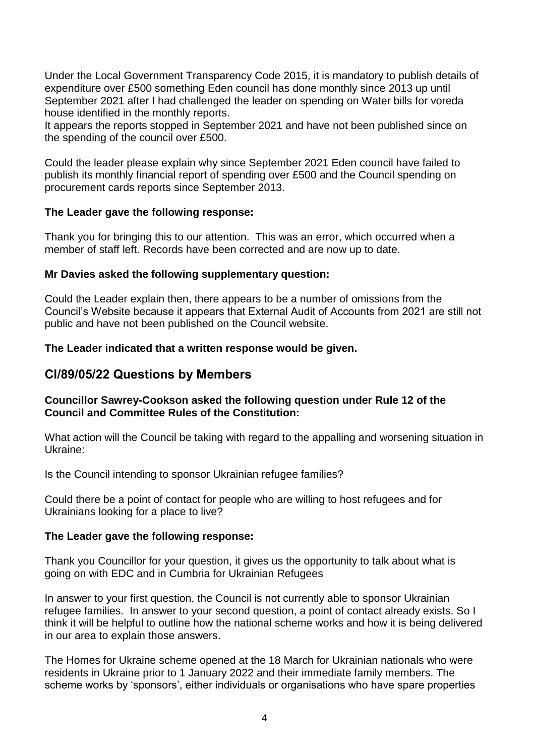Under the Local Government Transparency Code 2015, it is mandatory to publish details of expenditure over £500 something Eden council has done monthly since 2013 up until September 2021 after I had challenged the leader on spending on Water bills for voreda house identified in the monthly reports.

It appears the reports stopped in September 2021 and have not been published since on the spending of the council over £500.

Could the leader please explain why since September 2021 Eden council have failed to publish its monthly financial report of spending over £500 and the Council spending on procurement cards reports since September 2013.

#### **The Leader gave the following response:**

Thank you for bringing this to our attention. This was an error, which occurred when a member of staff left. Records have been corrected and are now up to date.

#### **Mr Davies asked the following supplementary question:**

Could the Leader explain then, there appears to be a number of omissions from the Council's Website because it appears that External Audit of Accounts from 2021 are still not public and have not been published on the Council website.

#### **The Leader indicated that a written response would be given.**

### **Cl/89/05/22 Questions by Members**

#### **Councillor Sawrey-Cookson asked the following question under Rule 12 of the Council and Committee Rules of the Constitution:**

What action will the Council be taking with regard to the appalling and worsening situation in Ukraine:

Is the Council intending to sponsor Ukrainian refugee families?

Could there be a point of contact for people who are willing to host refugees and for Ukrainians looking for a place to live?

#### **The Leader gave the following response:**

Thank you Councillor for your question, it gives us the opportunity to talk about what is going on with EDC and in Cumbria for Ukrainian Refugees

In answer to your first question, the Council is not currently able to sponsor Ukrainian refugee families. In answer to your second question, a point of contact already exists. So I think it will be helpful to outline how the national scheme works and how it is being delivered in our area to explain those answers.

The Homes for Ukraine scheme opened at the 18 March for Ukrainian nationals who were residents in Ukraine prior to 1 January 2022 and their immediate family members. The scheme works by 'sponsors', either individuals or organisations who have spare properties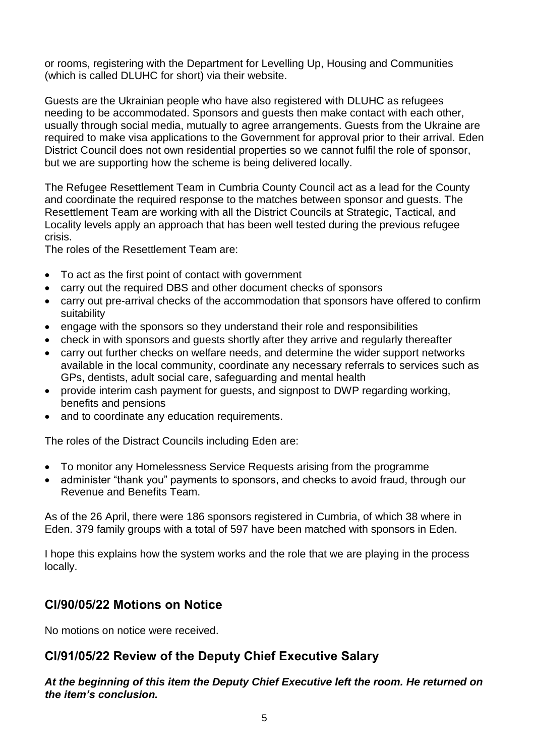or rooms, registering with the Department for Levelling Up, Housing and Communities (which is called DLUHC for short) via their website.

Guests are the Ukrainian people who have also registered with DLUHC as refugees needing to be accommodated. Sponsors and guests then make contact with each other, usually through social media, mutually to agree arrangements. Guests from the Ukraine are required to make visa applications to the Government for approval prior to their arrival. Eden District Council does not own residential properties so we cannot fulfil the role of sponsor, but we are supporting how the scheme is being delivered locally.

The Refugee Resettlement Team in Cumbria County Council act as a lead for the County and coordinate the required response to the matches between sponsor and guests. The Resettlement Team are working with all the District Councils at Strategic, Tactical, and Locality levels apply an approach that has been well tested during the previous refugee crisis.

The roles of the Resettlement Team are:

- To act as the first point of contact with government
- carry out the required DBS and other document checks of sponsors
- carry out pre-arrival checks of the accommodation that sponsors have offered to confirm suitability
- engage with the sponsors so they understand their role and responsibilities
- check in with sponsors and guests shortly after they arrive and regularly thereafter
- carry out further checks on welfare needs, and determine the wider support networks available in the local community, coordinate any necessary referrals to services such as GPs, dentists, adult social care, safeguarding and mental health
- provide interim cash payment for guests, and signpost to DWP regarding working, benefits and pensions
- and to coordinate any education requirements.

The roles of the Distract Councils including Eden are:

- To monitor any Homelessness Service Requests arising from the programme
- administer "thank you" payments to sponsors, and checks to avoid fraud, through our Revenue and Benefits Team.

As of the 26 April, there were 186 sponsors registered in Cumbria, of which 38 where in Eden. 379 family groups with a total of 597 have been matched with sponsors in Eden.

I hope this explains how the system works and the role that we are playing in the process locally.

## **Cl/90/05/22 Motions on Notice**

No motions on notice were received.

## **Cl/91/05/22 Review of the Deputy Chief Executive Salary**

*At the beginning of this item the Deputy Chief Executive left the room. He returned on the item's conclusion.*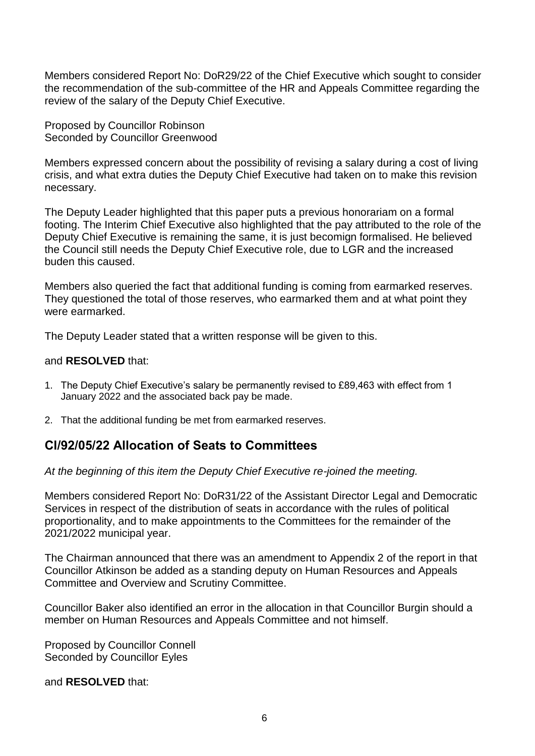Members considered Report No: DoR29/22 of the Chief Executive which sought to consider the recommendation of the sub-committee of the HR and Appeals Committee regarding the review of the salary of the Deputy Chief Executive.

Proposed by Councillor Robinson Seconded by Councillor Greenwood

Members expressed concern about the possibility of revising a salary during a cost of living crisis, and what extra duties the Deputy Chief Executive had taken on to make this revision necessary.

The Deputy Leader highlighted that this paper puts a previous honorariam on a formal footing. The Interim Chief Executive also highlighted that the pay attributed to the role of the Deputy Chief Executive is remaining the same, it is just becomign formalised. He believed the Council still needs the Deputy Chief Executive role, due to LGR and the increased buden this caused.

Members also queried the fact that additional funding is coming from earmarked reserves. They questioned the total of those reserves, who earmarked them and at what point they were earmarked.

The Deputy Leader stated that a written response will be given to this.

#### and **RESOLVED** that:

- 1. The Deputy Chief Executive's salary be permanently revised to £89,463 with effect from 1 January 2022 and the associated back pay be made.
- 2. That the additional funding be met from earmarked reserves.

## **Cl/92/05/22 Allocation of Seats to Committees**

*At the beginning of this item the Deputy Chief Executive re-joined the meeting.* 

Members considered Report No: DoR31/22 of the Assistant Director Legal and Democratic Services in respect of the distribution of seats in accordance with the rules of political proportionality, and to make appointments to the Committees for the remainder of the 2021/2022 municipal year.

The Chairman announced that there was an amendment to Appendix 2 of the report in that Councillor Atkinson be added as a standing deputy on Human Resources and Appeals Committee and Overview and Scrutiny Committee.

Councillor Baker also identified an error in the allocation in that Councillor Burgin should a member on Human Resources and Appeals Committee and not himself.

Proposed by Councillor Connell Seconded by Councillor Eyles

and **RESOLVED** that: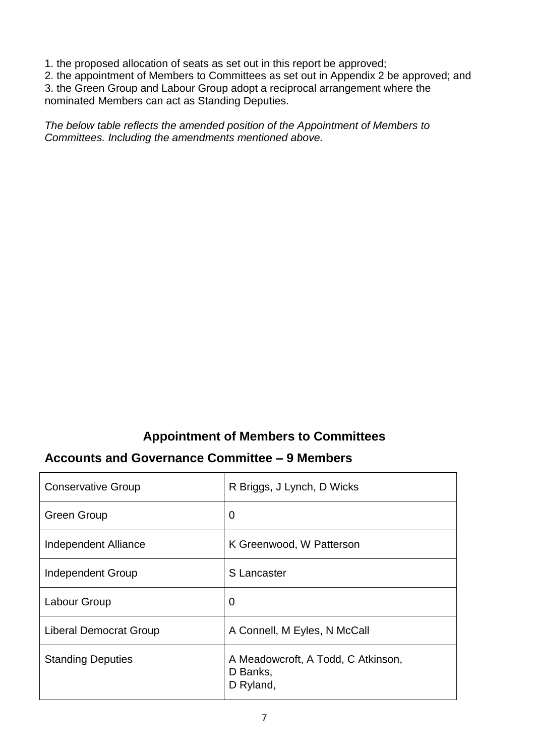1. the proposed allocation of seats as set out in this report be approved;

2. the appointment of Members to Committees as set out in Appendix 2 be approved; and

3. the Green Group and Labour Group adopt a reciprocal arrangement where the nominated Members can act as Standing Deputies.

*The below table reflects the amended position of the Appointment of Members to Committees. Including the amendments mentioned above.* 

## **Appointment of Members to Committees**

## **Accounts and Governance Committee – 9 Members**

| <b>Conservative Group</b>     | R Briggs, J Lynch, D Wicks                                  |
|-------------------------------|-------------------------------------------------------------|
| <b>Green Group</b>            | 0                                                           |
| Independent Alliance          | K Greenwood, W Patterson                                    |
| Independent Group             | S Lancaster                                                 |
| Labour Group                  | $\overline{0}$                                              |
| <b>Liberal Democrat Group</b> | A Connell, M Eyles, N McCall                                |
| <b>Standing Deputies</b>      | A Meadowcroft, A Todd, C Atkinson,<br>D Banks,<br>D Ryland, |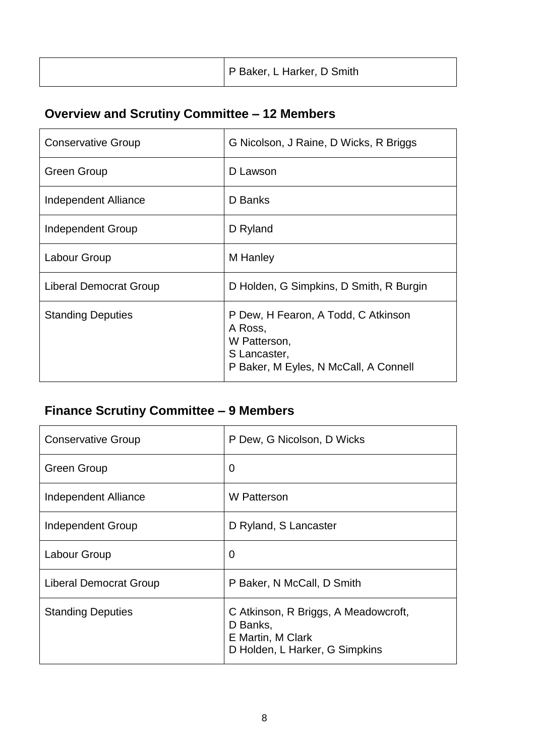|  | P Baker, L Harker, D Smith |
|--|----------------------------|
|--|----------------------------|

# **Overview and Scrutiny Committee – 12 Members**

| <b>Conservative Group</b> | G Nicolson, J Raine, D Wicks, R Briggs                                                                                  |
|---------------------------|-------------------------------------------------------------------------------------------------------------------------|
| <b>Green Group</b>        | D Lawson                                                                                                                |
| Independent Alliance      | D Banks                                                                                                                 |
| Independent Group         | D Ryland                                                                                                                |
| Labour Group              | M Hanley                                                                                                                |
| Liberal Democrat Group    | D Holden, G Simpkins, D Smith, R Burgin                                                                                 |
| <b>Standing Deputies</b>  | P Dew, H Fearon, A Todd, C Atkinson<br>A Ross,<br>W Patterson,<br>S Lancaster,<br>P Baker, M Eyles, N McCall, A Connell |

# **Finance Scrutiny Committee – 9 Members**

| <b>Conservative Group</b>     | P Dew, G Nicolson, D Wicks                                                                              |
|-------------------------------|---------------------------------------------------------------------------------------------------------|
| <b>Green Group</b>            | $\overline{0}$                                                                                          |
| Independent Alliance          | W Patterson                                                                                             |
| Independent Group             | D Ryland, S Lancaster                                                                                   |
| Labour Group                  | $\overline{0}$                                                                                          |
| <b>Liberal Democrat Group</b> | P Baker, N McCall, D Smith                                                                              |
| <b>Standing Deputies</b>      | C Atkinson, R Briggs, A Meadowcroft,<br>D Banks,<br>E Martin, M Clark<br>D Holden, L Harker, G Simpkins |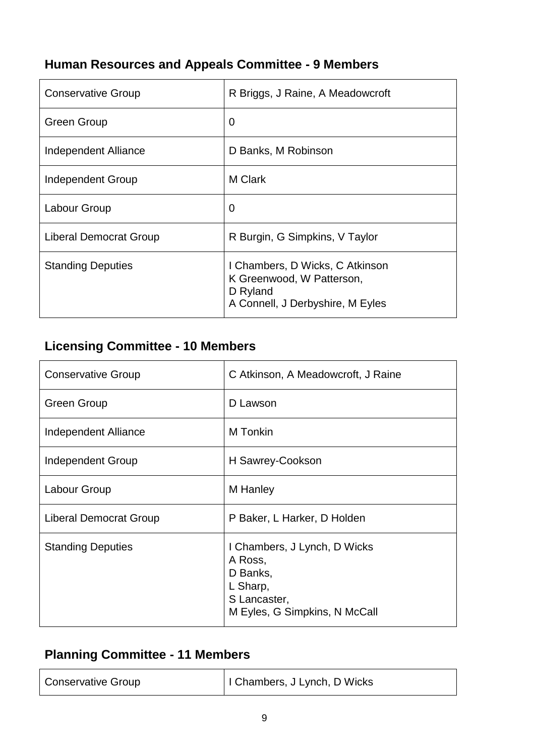## **Human Resources and Appeals Committee - 9 Members**

| <b>Conservative Group</b> | R Briggs, J Raine, A Meadowcroft                                                                             |
|---------------------------|--------------------------------------------------------------------------------------------------------------|
| <b>Green Group</b>        | 0                                                                                                            |
| Independent Alliance      | D Banks, M Robinson                                                                                          |
| Independent Group         | M Clark                                                                                                      |
| Labour Group              | $\overline{0}$                                                                                               |
| Liberal Democrat Group    | R Burgin, G Simpkins, V Taylor                                                                               |
| <b>Standing Deputies</b>  | I Chambers, D Wicks, C Atkinson<br>K Greenwood, W Patterson,<br>D Ryland<br>A Connell, J Derbyshire, M Eyles |

# **Licensing Committee - 10 Members**

| <b>Conservative Group</b> | C Atkinson, A Meadowcroft, J Raine                                                                               |
|---------------------------|------------------------------------------------------------------------------------------------------------------|
| Green Group               | D Lawson                                                                                                         |
| Independent Alliance      | M Tonkin                                                                                                         |
| Independent Group         | H Sawrey-Cookson                                                                                                 |
| Labour Group              | M Hanley                                                                                                         |
| Liberal Democrat Group    | P Baker, L Harker, D Holden                                                                                      |
| <b>Standing Deputies</b>  | I Chambers, J Lynch, D Wicks<br>A Ross,<br>D Banks,<br>L Sharp,<br>S Lancaster,<br>M Eyles, G Simpkins, N McCall |

## **Planning Committee - 11 Members**

| <b>Conservative Group</b> | I Chambers, J Lynch, D Wicks |
|---------------------------|------------------------------|
|                           |                              |